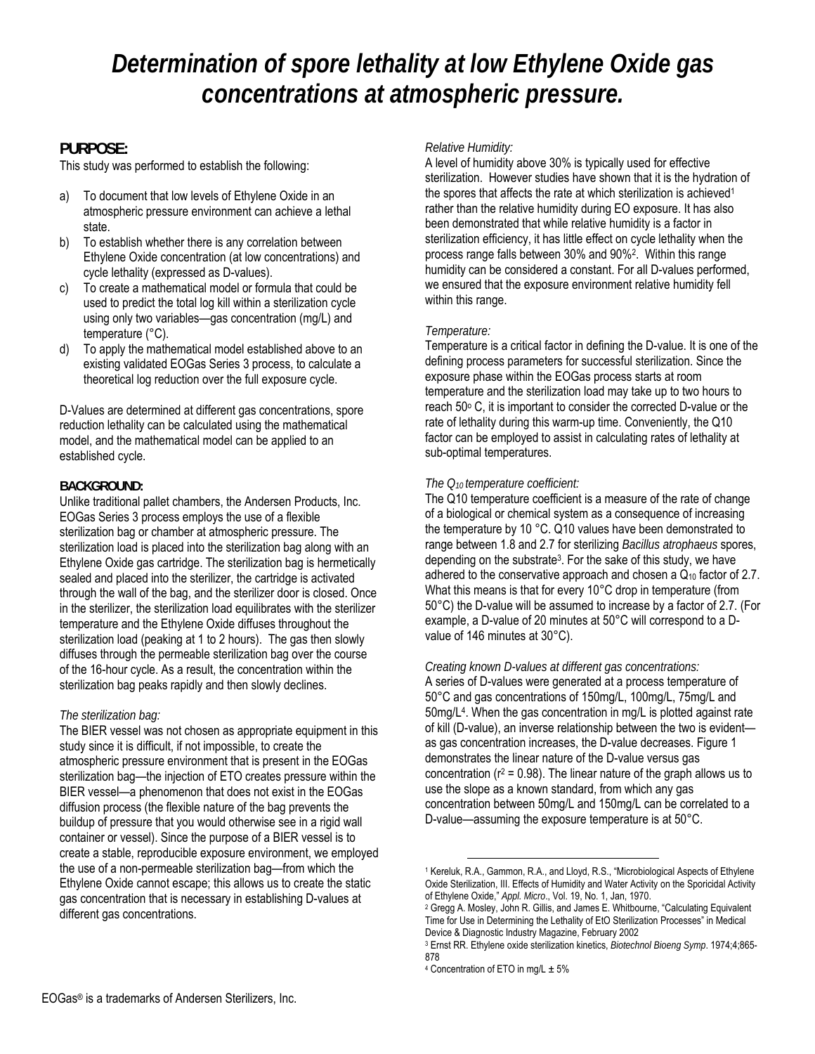### **PURPOSE:**

This study was performed to establish the following:

- a) To document that low levels of Ethylene Oxide in an atmospheric pressure environment can achieve a lethal state.
- b) To establish whether there is any correlation between Ethylene Oxide concentration (at low concentrations) and cycle lethality (expressed as D-values).
- c) To create a mathematical model or formula that could be used to predict the total log kill within a sterilization cycle using only two variables—gas concentration (mg/L) and temperature (°C).
- d) To apply the mathematical model established above to an existing validated EOGas Series 3 process, to calculate a theoretical log reduction over the full exposure cycle.

D-Values are determined at different gas concentrations, spore reduction lethality can be calculated using the mathematical model, and the mathematical model can be applied to an established cycle.

#### **BACKGROUND:**

Unlike traditional pallet chambers, the Andersen Products, Inc. EOGas Series 3 process employs the use of a flexible sterilization bag or chamber at atmospheric pressure. The sterilization load is placed into the sterilization bag along with an Ethylene Oxide gas cartridge. The sterilization bag is hermetically sealed and placed into the sterilizer, the cartridge is activated through the wall of the bag, and the sterilizer door is closed. Once in the sterilizer, the sterilization load equilibrates with the sterilizer temperature and the Ethylene Oxide diffuses throughout the sterilization load (peaking at 1 to 2 hours). The gas then slowly diffuses through the permeable sterilization bag over the course of the 16-hour cycle. As a result, the concentration within the sterilization bag peaks rapidly and then slowly declines.

#### *The sterilization bag:*

The BIER vessel was not chosen as appropriate equipment in this study since it is difficult, if not impossible, to create the atmospheric pressure environment that is present in the EOGas sterilization bag—the injection of ETO creates pressure within the BIER vessel—a phenomenon that does not exist in the EOGas diffusion process (the flexible nature of the bag prevents the buildup of pressure that you would otherwise see in a rigid wall container or vessel). Since the purpose of a BIER vessel is to create a stable, reproducible exposure environment, we employed the use of a non-permeable sterilization bag—from which the Ethylene Oxide cannot escape; this allows us to create the static gas concentration that is necessary in establishing D-values at different gas concentrations.

#### *Relative Humidity:*

A level of humidity above 30% is typically used for effective sterilization. However studies have shown that it is the hydration of the spores that affects the rate at which sterilization is achieved<sup>1</sup> rather than the relative humidity during EO exposure. It has also been demonstrated that while relative humidity is a factor in sterilization efficiency, it has little effect on cycle lethality when the process range falls between 30% and 90%2. Within this range humidity can be considered a constant. For all D-values performed, we ensured that the exposure environment relative humidity fell within this range.

#### *Temperature:*

Temperature is a critical factor in defining the D-value. It is one of the defining process parameters for successful sterilization. Since the exposure phase within the EOGas process starts at room temperature and the sterilization load may take up to two hours to reach 50° C, it is important to consider the corrected D-value or the rate of lethality during this warm-up time. Conveniently, the Q10 factor can be employed to assist in calculating rates of lethality at sub-optimal temperatures.

#### *The Q10 temperature coefficient:*

The Q10 temperature coefficient is a measure of the rate of change of a biological or chemical system as a consequence of increasing the temperature by 10 °C. Q10 values have been demonstrated to range between 1.8 and 2.7 for sterilizing *Bacillus atrophaeus* spores, depending on the substrate3. For the sake of this study, we have adhered to the conservative approach and chosen a  $Q_{10}$  factor of 2.7. What this means is that for every 10°C drop in temperature (from 50°C) the D-value will be assumed to increase by a factor of 2.7. (For example, a D-value of 20 minutes at 50°C will correspond to a Dvalue of 146 minutes at 30°C).

#### *Creating known D-values at different gas concentrations:*

A series of D-values were generated at a process temperature of 50°C and gas concentrations of 150mg/L, 100mg/L, 75mg/L and 50mg/L4. When the gas concentration in mg/L is plotted against rate of kill (D-value), an inverse relationship between the two is evident as gas concentration increases, the D-value decreases. Figure 1 demonstrates the linear nature of the D-value versus gas concentration ( $r^2$  = 0.98). The linear nature of the graph allows us to use the slope as a known standard, from which any gas concentration between 50mg/L and 150mg/L can be correlated to a D-value—assuming the exposure temperature is at 50°C.

 $\overline{a}$ 

<sup>1</sup> Kereluk, R.A., Gammon, R.A., and Lloyd, R.S., "Microbiological Aspects of Ethylene Oxide Sterilization, III. Effects of Humidity and Water Activity on the Sporicidal Activity<br>of Ethylene Oxide," Appl. Micro., Vol. 19, No. 1, Jan. 1970.

<sup>&</sup>lt;sup>2</sup> Gregg A. Mosley, John R. Gillis, and James E. Whitbourne, "Calculating Equivalent Time for Use in Determining the Lethality of EtO Sterilization Processes" in Medical

Device & Diagnostic Industry Magazine, February 2002<br><sup>3</sup> Ernst RR. Ethylene oxide sterilization kinetics, *Biotechnol Bioeng Symp*. 1974;4;865-878

 $4$  Concentration of ETO in mg/L  $\pm$  5%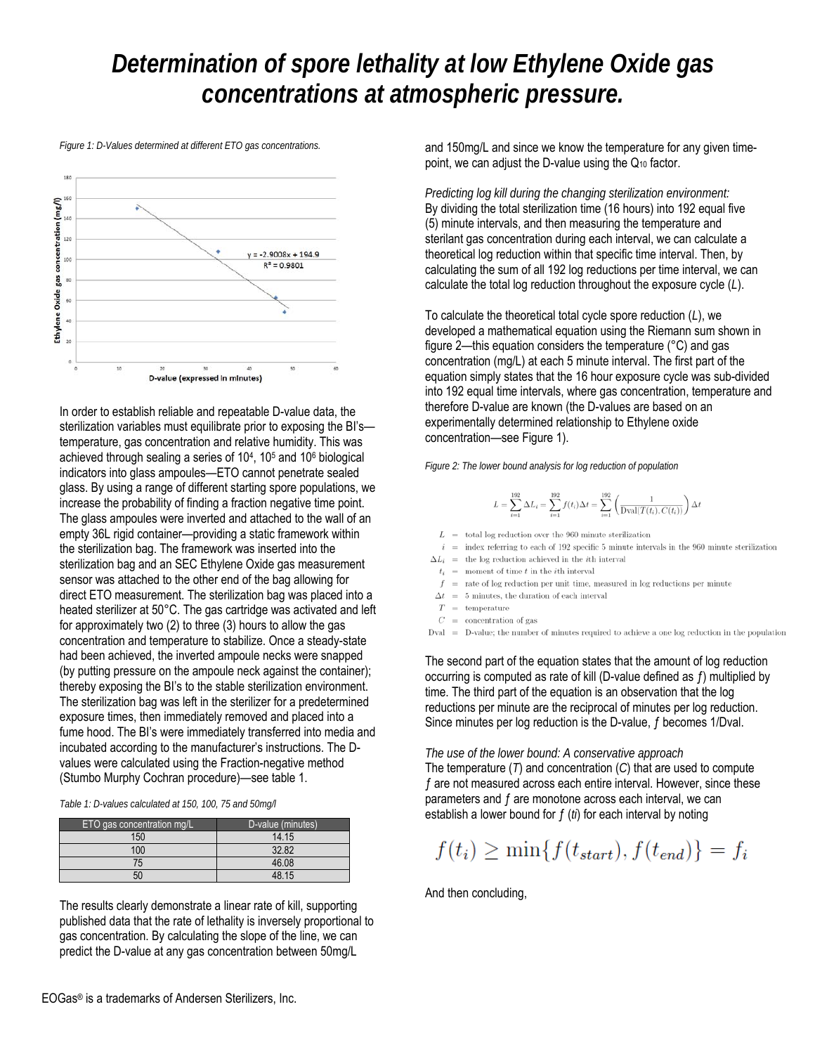*Figure 1: D-Values determined at different ETO gas concentrations.* 



In order to establish reliable and repeatable D-value data, the sterilization variables must equilibrate prior to exposing the BI's temperature, gas concentration and relative humidity. This was achieved through sealing a series of  $10<sup>4</sup>$ ,  $10<sup>5</sup>$  and  $10<sup>6</sup>$  biological indicators into glass ampoules—ETO cannot penetrate sealed glass. By using a range of different starting spore populations, we increase the probability of finding a fraction negative time point. The glass ampoules were inverted and attached to the wall of an empty 36L rigid container—providing a static framework within the sterilization bag. The framework was inserted into the sterilization bag and an SEC Ethylene Oxide gas measurement sensor was attached to the other end of the bag allowing for direct ETO measurement. The sterilization bag was placed into a heated sterilizer at 50°C. The gas cartridge was activated and left for approximately two (2) to three (3) hours to allow the gas concentration and temperature to stabilize. Once a steady-state had been achieved, the inverted ampoule necks were snapped (by putting pressure on the ampoule neck against the container); thereby exposing the BI's to the stable sterilization environment. The sterilization bag was left in the sterilizer for a predetermined exposure times, then immediately removed and placed into a fume hood. The BI's were immediately transferred into media and incubated according to the manufacturer's instructions. The Dvalues were calculated using the Fraction-negative method (Stumbo Murphy Cochran procedure)—see table 1.

| ETO gas concentration mg/L | D-value (minutes) |
|----------------------------|-------------------|
| 150                        | 14.15             |
| 100                        | 32.82             |
| 75                         | 46.08             |
| 50                         | 48 15             |

The results clearly demonstrate a linear rate of kill, supporting published data that the rate of lethality is inversely proportional to gas concentration. By calculating the slope of the line, we can predict the D-value at any gas concentration between 50mg/L

and 150mg/L and since we know the temperature for any given timepoint, we can adjust the D-value using the Q10 factor.

*Predicting log kill during the changing sterilization environment:*  By dividing the total sterilization time (16 hours) into 192 equal five (5) minute intervals, and then measuring the temperature and sterilant gas concentration during each interval, we can calculate a theoretical log reduction within that specific time interval. Then, by calculating the sum of all 192 log reductions per time interval, we can calculate the total log reduction throughout the exposure cycle (*L*).

To calculate the theoretical total cycle spore reduction (*L*), we developed a mathematical equation using the Riemann sum shown in figure 2—this equation considers the temperature (°C) and gas concentration (mg/L) at each 5 minute interval. The first part of the equation simply states that the 16 hour exposure cycle was sub-divided into 192 equal time intervals, where gas concentration, temperature and therefore D-value are known (the D-values are based on an experimentally determined relationship to Ethylene oxide concentration—see Figure 1).

*Figure 2: The lower bound analysis for log reduction of population* 

$$
L = \sum_{i=1}^{192} \Delta L_i = \sum_{i=1}^{192} f(t_i) \Delta t = \sum_{i=1}^{192} \left( \frac{1}{\text{Dval}(T(t_i), C(t_i))} \right) \Delta t
$$

- $L\;\;=\;\;$  total log reduction over the 960 minute sterilization
- $i\;\;=\;\;$  index referring to each of 192 specific 5 minute intervals in the 960 minute sterilization  $\Delta L_i$  = the log reduction achieved in the *i*th interval
- $t_i$  = moment of time t in the ith interval
- $f$  = rate of log reduction per unit time, measured in log reductions per minute
- $\Delta t = 5$  minutes, the duration of each interval
- $T =$  temperature
- $C =$  concentration of gas
- $Dval = D-value$ ; the number of minutes required to achieve a one log reduction in the population

The second part of the equation states that the amount of log reduction occurring is computed as rate of kill (D-value defined as ƒ) multiplied by time. The third part of the equation is an observation that the log reductions per minute are the reciprocal of minutes per log reduction. Since minutes per log reduction is the D-value, ƒ becomes 1/Dval.

*The use of the lower bound: A conservative approach*

The temperature (*T*) and concentration (*C*) that are used to compute ƒ are not measured across each entire interval. However, since these parameters and ƒ are monotone across each interval, we can establish a lower bound for ƒ (*ti*) for each interval by noting

$$
f(t_i) \ge \min\{f(t_{start}), f(t_{end})\} = f_i
$$

And then concluding,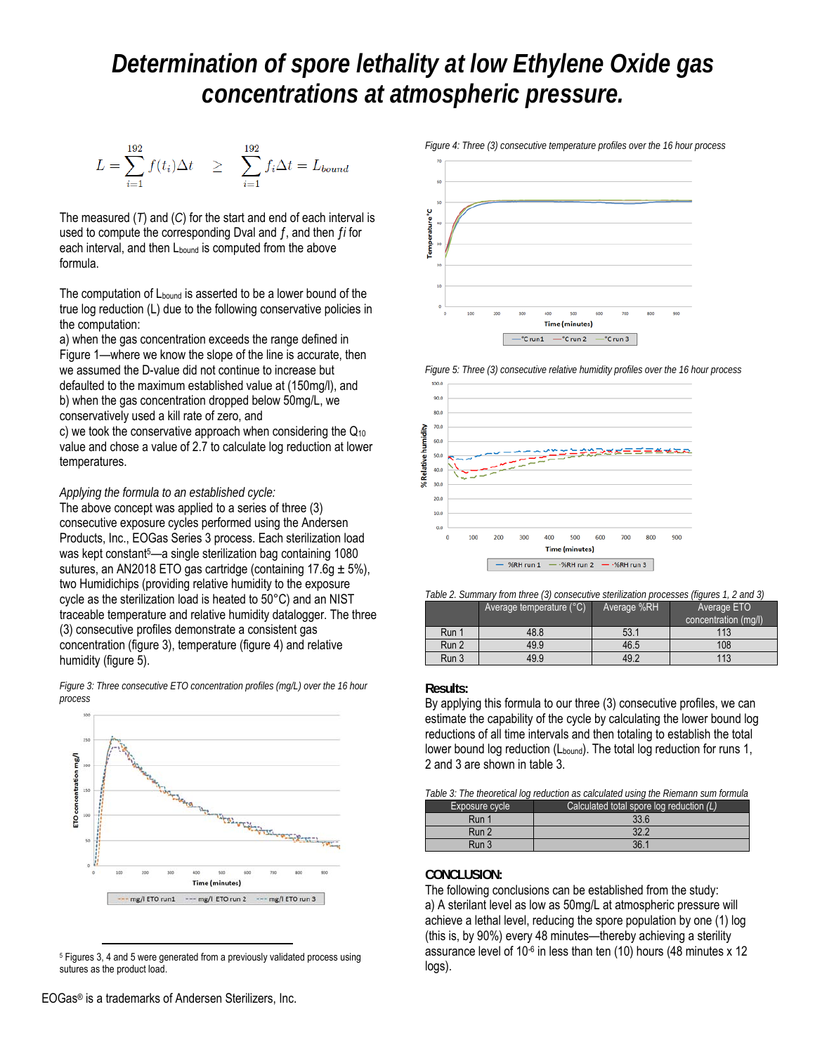$$
L = \sum_{i=1}^{192} f(t_i) \Delta t \quad \geq \quad \sum_{i=1}^{192} f_i \Delta t = L_{bound}
$$

The measured (*T*) and (*C*) for the start and end of each interval is used to compute the corresponding Dval and ƒ, and then ƒ*i* for each interval, and then L<sub>bound</sub> is computed from the above formula.

The computation of  $L_{bound}$  is asserted to be a lower bound of the true log reduction (L) due to the following conservative policies in the computation:

a) when the gas concentration exceeds the range defined in Figure 1—where we know the slope of the line is accurate, then we assumed the D-value did not continue to increase but defaulted to the maximum established value at (150mg/l), and b) when the gas concentration dropped below 50mg/L, we conservatively used a kill rate of zero, and

c) we took the conservative approach when considering the  $Q_{10}$ value and chose a value of 2.7 to calculate log reduction at lower temperatures.

#### *Applying the formula to an established cycle:*

The above concept was applied to a series of three (3) consecutive exposure cycles performed using the Andersen Products, Inc., EOGas Series 3 process. Each sterilization load was kept constant<sup>5</sup>—a single sterilization bag containing 1080 sutures, an AN2018 ETO gas cartridge (containing 17.6g  $\pm$  5%), two Humidichips (providing relative humidity to the exposure cycle as the sterilization load is heated to 50°C) and an NIST traceable temperature and relative humidity datalogger. The three (3) consecutive profiles demonstrate a consistent gas concentration (figure 3), temperature (figure 4) and relative humidity (figure 5).



*Figure 3: Three consecutive ETO concentration profiles (mg/L) over the 16 hour process* 

5 Figures 3, 4 and 5 were generated from a previously validated process using sutures as the product load.

emperature Time (minutes)  $-$ <sup>\*</sup>C run 2 <sup>-</sup>Crun1 °C run 3

*Figure 4: Three (3) consecutive temperature profiles over the 16 hour process* 

*Figure 5: Three (3) consecutive relative humidity profiles over the 16 hour process* 



*Table 2. Summary from three (3) consecutive sterilization processes (figures 1, 2 and 3)* 

|       | Average temperature (°C) ! | Average %RH | Average ETO<br>concentration (mq/l). |
|-------|----------------------------|-------------|--------------------------------------|
| Run 1 | 48.8                       | 53.1        | 113                                  |
| Run 2 | 49.9                       | 46.5        | 108                                  |
| Run 3 | 49.9                       | 49.2        | 113                                  |

#### **Results:**

By applying this formula to our three (3) consecutive profiles, we can estimate the capability of the cycle by calculating the lower bound log reductions of all time intervals and then totaling to establish the total lower bound log reduction (L<sub>bound</sub>). The total log reduction for runs 1, 2 and 3 are shown in table 3.

| Table 3: The theoretical log reduction as calculated using the Riemann sum formula |                                           |  |
|------------------------------------------------------------------------------------|-------------------------------------------|--|
| Exposure cycle                                                                     | Calculated total spore log reduction (L). |  |
| Run 1                                                                              | 33.6                                      |  |
| Run 2                                                                              | 32.2                                      |  |

Run 3 36.1

#### **CONCLUSION:**

The following conclusions can be established from the study: a) A sterilant level as low as 50mg/L at atmospheric pressure will achieve a lethal level, reducing the spore population by one (1) log (this is, by 90%) every 48 minutes—thereby achieving a sterility assurance level of 10<sup>-6</sup> in less than ten (10) hours (48 minutes x 12 logs).

EOGas® is a trademarks of Andersen Sterilizers, Inc.

1